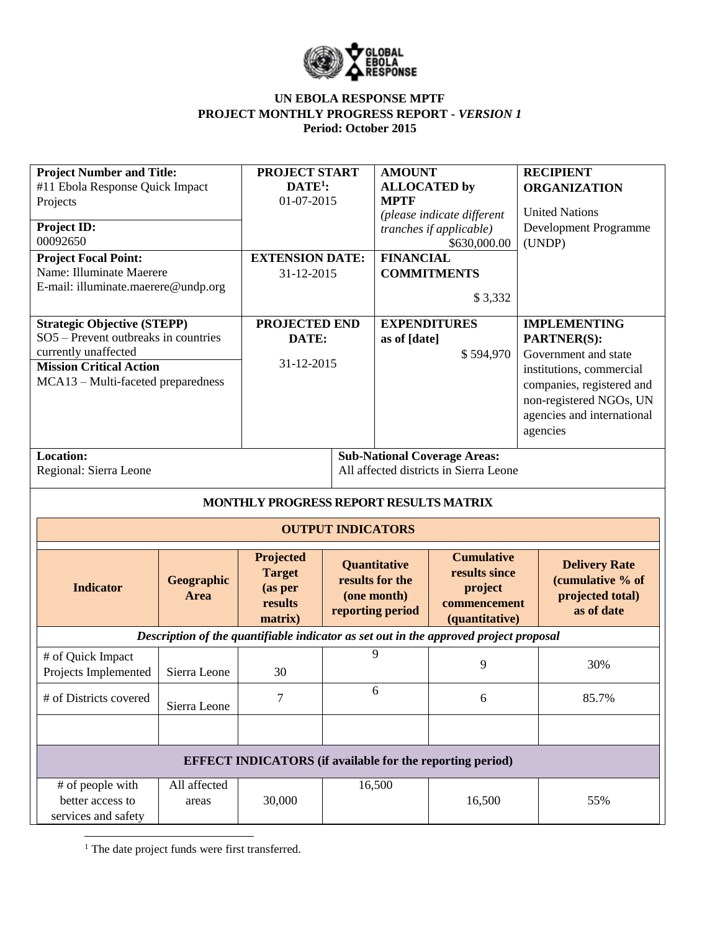

| <b>Project Number and Title:</b>                       |                           | PROJECT START<br>$DATE1$ :                                       |                                                                    | <b>AMOUNT</b>                      |                                                                                       | <b>RECIPIENT</b>                                                           |  |
|--------------------------------------------------------|---------------------------|------------------------------------------------------------------|--------------------------------------------------------------------|------------------------------------|---------------------------------------------------------------------------------------|----------------------------------------------------------------------------|--|
| #11 Ebola Response Quick Impact<br>Projects            |                           | 01-07-2015                                                       |                                                                    | <b>ALLOCATED</b> by<br><b>MPTF</b> |                                                                                       | <b>ORGANIZATION</b>                                                        |  |
|                                                        |                           |                                                                  |                                                                    |                                    | (please indicate different                                                            | <b>United Nations</b>                                                      |  |
| Project ID:<br>00092650                                |                           |                                                                  |                                                                    |                                    | tranches if applicable)                                                               | <b>Development Programme</b>                                               |  |
| <b>Project Focal Point:</b>                            |                           | <b>EXTENSION DATE:</b>                                           |                                                                    | <b>FINANCIAL</b>                   | \$630,000.00                                                                          | (UNDP)                                                                     |  |
| Name: Illuminate Maerere                               |                           | 31-12-2015                                                       |                                                                    |                                    | <b>COMMITMENTS</b>                                                                    |                                                                            |  |
| E-mail: illuminate.maerere@undp.org                    |                           |                                                                  |                                                                    |                                    |                                                                                       |                                                                            |  |
|                                                        |                           |                                                                  |                                                                    | \$3,332                            |                                                                                       |                                                                            |  |
| <b>Strategic Objective (STEPP)</b>                     |                           | PROJECTED END                                                    |                                                                    | <b>EXPENDITURES</b>                |                                                                                       | <b>IMPLEMENTING</b>                                                        |  |
| SO5 - Prevent outbreaks in countries                   |                           | DATE:                                                            |                                                                    | as of [date]                       |                                                                                       | PARTNER(S):                                                                |  |
| currently unaffected<br><b>Mission Critical Action</b> |                           | 31-12-2015                                                       |                                                                    |                                    | \$594,970                                                                             | Government and state                                                       |  |
| MCA13 - Multi-faceted preparedness                     |                           |                                                                  |                                                                    |                                    |                                                                                       | institutions, commercial<br>companies, registered and                      |  |
|                                                        |                           |                                                                  |                                                                    |                                    |                                                                                       | non-registered NGOs, UN                                                    |  |
|                                                        |                           |                                                                  |                                                                    |                                    |                                                                                       | agencies and international                                                 |  |
|                                                        |                           |                                                                  |                                                                    |                                    |                                                                                       | agencies                                                                   |  |
| Location:                                              |                           |                                                                  |                                                                    |                                    | <b>Sub-National Coverage Areas:</b>                                                   |                                                                            |  |
| Regional: Sierra Leone                                 |                           |                                                                  |                                                                    |                                    | All affected districts in Sierra Leone                                                |                                                                            |  |
|                                                        |                           |                                                                  |                                                                    |                                    |                                                                                       |                                                                            |  |
|                                                        |                           |                                                                  |                                                                    |                                    |                                                                                       |                                                                            |  |
|                                                        |                           |                                                                  |                                                                    |                                    | MONTHLY PROGRESS REPORT RESULTS MATRIX                                                |                                                                            |  |
|                                                        |                           |                                                                  | <b>OUTPUT INDICATORS</b>                                           |                                    |                                                                                       |                                                                            |  |
| <b>Indicator</b>                                       | Geographic<br><b>Area</b> | Projected<br><b>Target</b><br>(as per<br>results<br>matrix)      | Quantitative<br>results for the<br>(one month)<br>reporting period |                                    | <b>Cumulative</b><br>results since<br>project<br>commencement<br>(quantitative)       | <b>Delivery Rate</b><br>(cumulative % of<br>projected total)<br>as of date |  |
|                                                        |                           |                                                                  |                                                                    |                                    | Description of the quantifiable indicator as set out in the approved project proposal |                                                                            |  |
| # of Quick Impact                                      |                           |                                                                  | 9                                                                  |                                    |                                                                                       |                                                                            |  |
| Projects Implemented                                   | Sierra Leone              | 30                                                               |                                                                    |                                    | 9                                                                                     | 30%                                                                        |  |
| # of Districts covered                                 |                           | 7                                                                |                                                                    | 6                                  | 6                                                                                     | 85.7%                                                                      |  |
|                                                        | Sierra Leone              |                                                                  |                                                                    |                                    |                                                                                       |                                                                            |  |
|                                                        |                           |                                                                  |                                                                    |                                    |                                                                                       |                                                                            |  |
|                                                        |                           | <b>EFFECT INDICATORS</b> (if available for the reporting period) |                                                                    |                                    |                                                                                       |                                                                            |  |
| # of people with                                       | All affected              |                                                                  | 16,500                                                             |                                    |                                                                                       |                                                                            |  |
| better access to<br>services and safety                | areas                     | 30,000                                                           |                                                                    |                                    | 16,500                                                                                | 55%                                                                        |  |

<sup>1</sup> The date project funds were first transferred.

 $\overline{\phantom{a}}$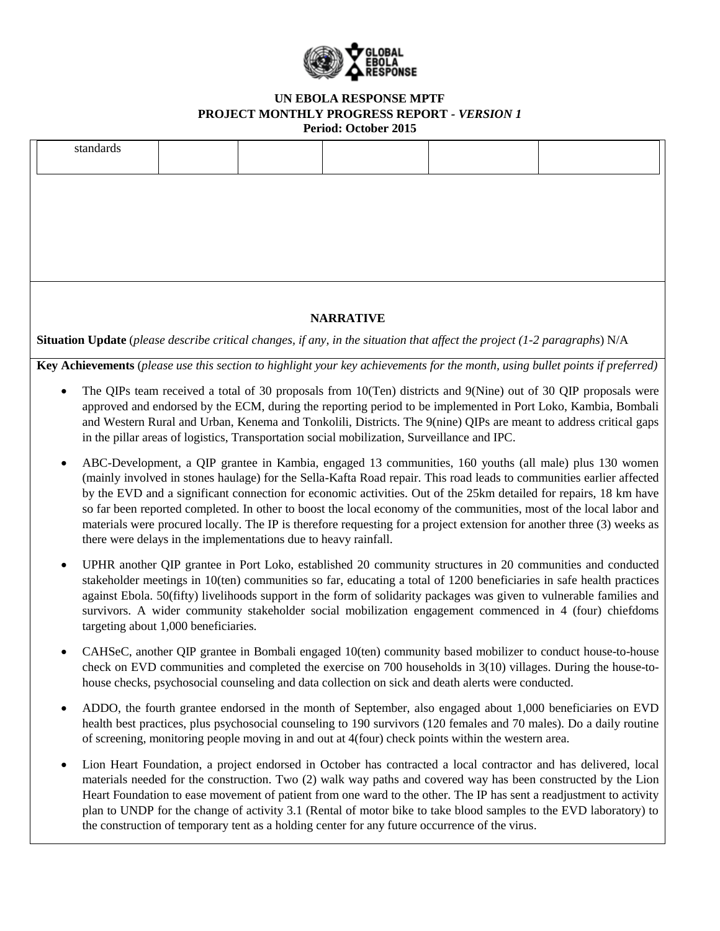

|   | standards                                                                                                                                                                                                                                                                                                                                                                                                                                                                                                                                                                                                                                                               |                                      |  |  |                                                                                                    |                                                                                                                                                                                                                                                                                                                                                                                                                                                                               |  |  |
|---|-------------------------------------------------------------------------------------------------------------------------------------------------------------------------------------------------------------------------------------------------------------------------------------------------------------------------------------------------------------------------------------------------------------------------------------------------------------------------------------------------------------------------------------------------------------------------------------------------------------------------------------------------------------------------|--------------------------------------|--|--|----------------------------------------------------------------------------------------------------|-------------------------------------------------------------------------------------------------------------------------------------------------------------------------------------------------------------------------------------------------------------------------------------------------------------------------------------------------------------------------------------------------------------------------------------------------------------------------------|--|--|
|   |                                                                                                                                                                                                                                                                                                                                                                                                                                                                                                                                                                                                                                                                         |                                      |  |  |                                                                                                    |                                                                                                                                                                                                                                                                                                                                                                                                                                                                               |  |  |
|   | <b>NARRATIVE</b><br><b>Situation Update</b> (please describe critical changes, if any, in the situation that affect the project (1-2 paragraphs) $N/A$                                                                                                                                                                                                                                                                                                                                                                                                                                                                                                                  |                                      |  |  |                                                                                                    |                                                                                                                                                                                                                                                                                                                                                                                                                                                                               |  |  |
|   |                                                                                                                                                                                                                                                                                                                                                                                                                                                                                                                                                                                                                                                                         |                                      |  |  |                                                                                                    |                                                                                                                                                                                                                                                                                                                                                                                                                                                                               |  |  |
|   | Key Achievements (please use this section to highlight your key achievements for the month, using bullet points if preferred)<br>The QIPs team received a total of 30 proposals from 10(Ten) districts and 9(Nine) out of 30 QIP proposals were<br>approved and endorsed by the ECM, during the reporting period to be implemented in Port Loko, Kambia, Bombali<br>and Western Rural and Urban, Kenema and Tonkolili, Districts. The 9(nine) QIPs are meant to address critical gaps<br>in the pillar areas of logistics, Transportation social mobilization, Surveillance and IPC.                                                                                    |                                      |  |  |                                                                                                    |                                                                                                                                                                                                                                                                                                                                                                                                                                                                               |  |  |
|   | ABC-Development, a QIP grantee in Kambia, engaged 13 communities, 160 youths (all male) plus 130 women<br>(mainly involved in stones haulage) for the Sella-Kafta Road repair. This road leads to communities earlier affected<br>by the EVD and a significant connection for economic activities. Out of the 25km detailed for repairs, 18 km have<br>so far been reported completed. In other to boost the local economy of the communities, most of the local labor and<br>materials were procured locally. The IP is therefore requesting for a project extension for another three (3) weeks as<br>there were delays in the implementations due to heavy rainfall. |                                      |  |  |                                                                                                    |                                                                                                                                                                                                                                                                                                                                                                                                                                                                               |  |  |
|   |                                                                                                                                                                                                                                                                                                                                                                                                                                                                                                                                                                                                                                                                         | targeting about 1,000 beneficiaries. |  |  |                                                                                                    | UPHR another QIP grantee in Port Loko, established 20 community structures in 20 communities and conducted<br>stakeholder meetings in 10(ten) communities so far, educating a total of 1200 beneficiaries in safe health practices<br>against Ebola. 50(fifty) livelihoods support in the form of solidarity packages was given to vulnerable families and<br>survivors. A wider community stakeholder social mobilization engagement commenced in 4 (four) chiefdoms         |  |  |
|   | CAHSeC, another QIP grantee in Bombali engaged 10(ten) community based mobilizer to conduct house-to-house<br>check on EVD communities and completed the exercise on 700 households in $3(10)$ villages. During the house-to-<br>house checks, psychosocial counseling and data collection on sick and death alerts were conducted.                                                                                                                                                                                                                                                                                                                                     |                                      |  |  |                                                                                                    |                                                                                                                                                                                                                                                                                                                                                                                                                                                                               |  |  |
| ٠ |                                                                                                                                                                                                                                                                                                                                                                                                                                                                                                                                                                                                                                                                         |                                      |  |  | of screening, monitoring people moving in and out at 4(four) check points within the western area. | ADDO, the fourth grantee endorsed in the month of September, also engaged about 1,000 beneficiaries on EVD<br>health best practices, plus psychosocial counseling to 190 survivors (120 females and 70 males). Do a daily routine                                                                                                                                                                                                                                             |  |  |
| ٠ |                                                                                                                                                                                                                                                                                                                                                                                                                                                                                                                                                                                                                                                                         |                                      |  |  |                                                                                                    | Lion Heart Foundation, a project endorsed in October has contracted a local contractor and has delivered, local<br>materials needed for the construction. Two (2) walk way paths and covered way has been constructed by the Lion<br>Heart Foundation to ease movement of patient from one ward to the other. The IP has sent a readjustment to activity<br>plan to UNDP for the change of activity 3.1 (Rental of motor bike to take blood samples to the EVD laboratory) to |  |  |

the construction of temporary tent as a holding center for any future occurrence of the virus.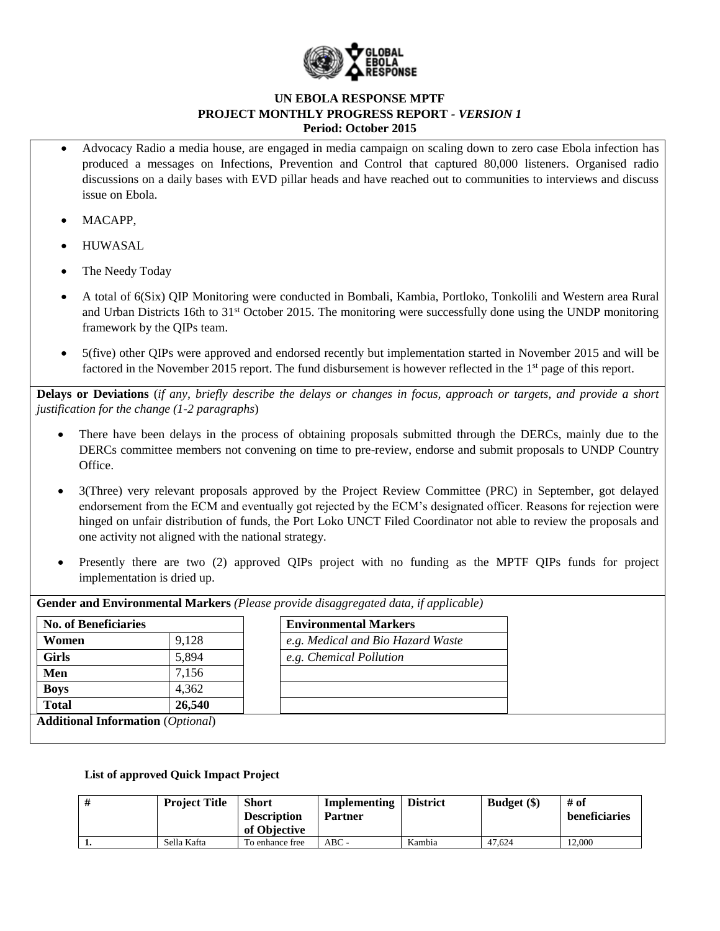

- Advocacy Radio a media house, are engaged in media campaign on scaling down to zero case Ebola infection has produced a messages on Infections, Prevention and Control that captured 80,000 listeners. Organised radio discussions on a daily bases with EVD pillar heads and have reached out to communities to interviews and discuss issue on Ebola.
- MACAPP,
- HUWASAL
- The Needy Today
- A total of 6(Six) QIP Monitoring were conducted in Bombali, Kambia, Portloko, Tonkolili and Western area Rural and Urban Districts 16th to 31st October 2015. The monitoring were successfully done using the UNDP monitoring framework by the QIPs team.
- 5(five) other QIPs were approved and endorsed recently but implementation started in November 2015 and will be factored in the November 2015 report. The fund disbursement is however reflected in the 1<sup>st</sup> page of this report.

**Delays or Deviations** (*if any, briefly describe the delays or changes in focus, approach or targets, and provide a short justification for the change (1-2 paragraphs*)

- There have been delays in the process of obtaining proposals submitted through the DERCs, mainly due to the DERCs committee members not convening on time to pre-review, endorse and submit proposals to UNDP Country Office.
- 3(Three) very relevant proposals approved by the Project Review Committee (PRC) in September, got delayed endorsement from the ECM and eventually got rejected by the ECM's designated officer. Reasons for rejection were hinged on unfair distribution of funds, the Port Loko UNCT Filed Coordinator not able to review the proposals and one activity not aligned with the national strategy.
- Presently there are two (2) approved QIPs project with no funding as the MPTF QIPs funds for project implementation is dried up.

| <b>No. of Beneficiaries</b> |        | <b>Environmental Markers</b>      |
|-----------------------------|--------|-----------------------------------|
| Women                       | 9,128  | e.g. Medical and Bio Hazard Waste |
| <b>Girls</b>                | 5,894  | e.g. Chemical Pollution           |
| Men                         | 7,156  |                                   |
| <b>Boys</b>                 | 4,362  |                                   |
| <b>Total</b>                | 26,540 |                                   |

**Gender and Environmental Markers** *(Please provide disaggregated data, if applicable)*

### **List of approved Quick Impact Project**

| <b>Project Title</b> | <b>Short</b><br><b>Description</b><br>of Objective | Implementing<br><b>Partner</b> | <b>District</b> | <b>Budget</b> (\$) | # of<br>beneficiaries |
|----------------------|----------------------------------------------------|--------------------------------|-----------------|--------------------|-----------------------|
| Sella Kafta          | To enhance free                                    | $ABC -$                        | Kambia          | 47.624             | 12,000                |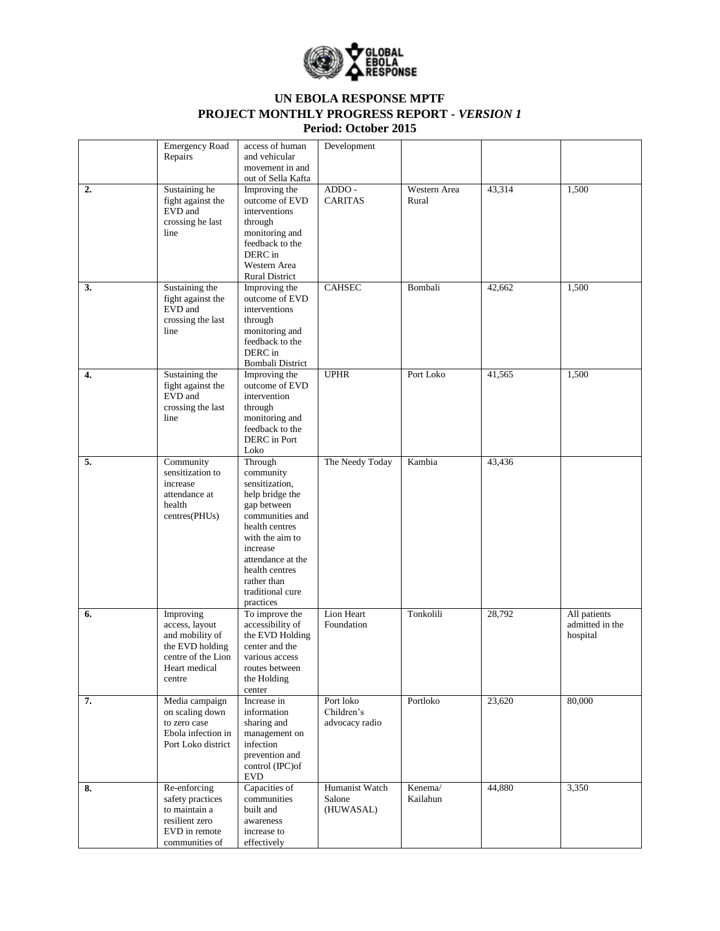

|    | <b>Emergency Road</b><br>Repairs                                                                                   | access of human<br>and vehicular<br>movement in and<br>out of Sella Kafta                                                                                                                                                           | Development                               |                       |        |                                             |
|----|--------------------------------------------------------------------------------------------------------------------|-------------------------------------------------------------------------------------------------------------------------------------------------------------------------------------------------------------------------------------|-------------------------------------------|-----------------------|--------|---------------------------------------------|
| 2. | Sustaining he<br>fight against the<br>EVD and<br>crossing he last<br>line                                          | Improving the<br>outcome of EVD<br>interventions<br>through<br>monitoring and<br>feedback to the<br>DERC in<br>Western Area<br><b>Rural District</b>                                                                                | $ADDO -$<br><b>CARITAS</b>                | Western Area<br>Rural | 43,314 | 1,500                                       |
| 3. | Sustaining the<br>fight against the<br>EVD and<br>crossing the last<br>line                                        | Improving the<br>outcome of EVD<br>interventions<br>through<br>monitoring and<br>feedback to the<br>DERC in<br>Bombali District                                                                                                     | <b>CAHSEC</b>                             | Bombali               | 42,662 | 1,500                                       |
| 4. | Sustaining the<br>fight against the<br>EVD and<br>crossing the last<br>line                                        | Improving the<br>outcome of EVD<br>intervention<br>through<br>monitoring and<br>feedback to the<br>DERC in Port<br>Loko                                                                                                             | <b>UPHR</b>                               | Port Loko             | 41,565 | 1,500                                       |
| 5. | Community<br>sensitization to<br>increase<br>attendance at<br>health<br>centres(PHUs)                              | Through<br>community<br>sensitization,<br>help bridge the<br>gap between<br>communities and<br>health centres<br>with the aim to<br>increase<br>attendance at the<br>health centres<br>rather than<br>traditional cure<br>practices | The Needy Today                           | Kambia                | 43,436 |                                             |
| 6. | Improving<br>access, layout<br>and mobility of<br>the EVD holding<br>centre of the Lion<br>Heart medical<br>centre | To improve the<br>accessibility of<br>the EVD Holding<br>center and the<br>various access<br>routes between<br>the Holding<br>center                                                                                                | Lion Heart<br>Foundation                  | Tonkolili             | 28,792 | All patients<br>admitted in the<br>hospital |
| 7. | Media campaign<br>on scaling down<br>to zero case<br>Ebola infection in<br>Port Loko district                      | Increase in<br>information<br>sharing and<br>management on<br>infection<br>prevention and<br>control (IPC)of<br><b>EVD</b>                                                                                                          | Port loko<br>Children's<br>advocacy radio | Portloko              | 23,620 | 80,000                                      |
| 8. | Re-enforcing<br>safety practices<br>to maintain a<br>resilient zero<br>EVD in remote<br>communities of             | Capacities of<br>communities<br>built and<br>awareness<br>increase to<br>effectively                                                                                                                                                | Humanist Watch<br>Salone<br>(HUWASAL)     | Kenema/<br>Kailahun   | 44,880 | 3,350                                       |